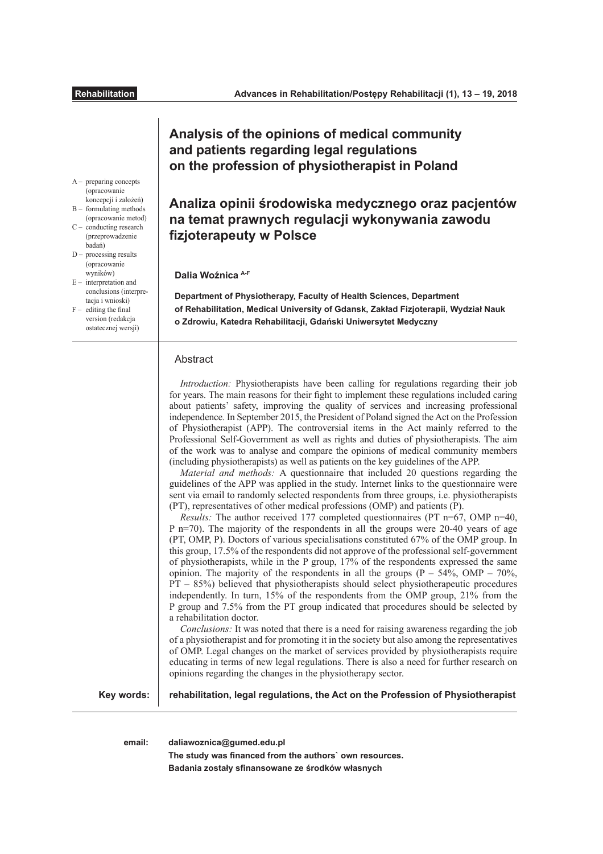# **Analysis of the opinions of medical community and patients regarding legal regulations on the profession of physiotherapist in Poland**

**Analiza opinii środowiska medycznego oraz pacjentów na temat prawnych regulacji wykonywania zawodu fizjoterapeuty w Polsce** 

## **Dalia Woźnica A-F**

**Department of Physiotherapy, Faculty of Health Sciences, Department of Rehabilitation, Medical University of Gdansk, Zakład Fizjoterapii, Wydział Nauk o Zdrowiu, Katedra Rehabilitacji, Gdański Uniwersytet Medyczny**

# Abstract

*Introduction:* Physiotherapists have been calling for regulations regarding their job for years. The main reasons for their fght to implement these regulations included caring about patients' safety, improving the quality of services and increasing professional independence. In September 2015, the President of Poland signed the Act on the Profession of Physiotherapist (APP). The controversial items in the Act mainly referred to the Professional Self-Government as well as rights and duties of physiotherapists. The aim of the work was to analyse and compare the opinions of medical community members (including physiotherapists) as well as patients on the key guidelines of the APP.

*Material and methods:* A questionnaire that included 20 questions regarding the guidelines of the APP was applied in the study. Internet links to the questionnaire were sent via email to randomly selected respondents from three groups, i.e. physiotherapists (PT), representatives of other medical professions (OMP) and patients (P).

*Results:* The author received 177 completed questionnaires (PT n=67, OMP n=40, P n=70). The majority of the respondents in all the groups were 20-40 years of age (PT, OMP, P). Doctors of various specialisations constituted 67% of the OMP group. In this group, 17.5% of the respondents did not approve of the professional self-government of physiotherapists, while in the P group,  $17\%$  of the respondents expressed the same opinion. The majority of the respondents in all the groups  $(P - 54\%, \text{OMP} - 70\%$ , PT – 85%) believed that physiotherapists should select physiotherapeutic procedures independently. In turn, 15% of the respondents from the OMP group, 21% from the P group and 7.5% from the PT group indicated that procedures should be selected by a rehabilitation doctor.

*Conclusions:* It was noted that there is a need for raising awareness regarding the job of a physiotherapist and for promoting it in the society but also among the representatives of OMP. Legal changes on the market of services provided by physiotherapists require educating in terms of new legal regulations. There is also a need for further research on opinions regarding the changes in the physiotherapy sector.

**Key words:**

**rehabilitation, legal regulations, the Act on the Profession of Physiotherapist**

**email: daliawoznica@gumed.edu.pl**

**The study was fnanced from the authors` own resources. Badania zostały sfnansowane ze środków własnych**

- A preparing concepts (opracowanie koncepcji i założeń) B – formulating methods
- (opracowanie metod)  $C - \n$  conducting research
- (przeprowadzenie badań)  $D -$  processing results
- (opracowanie wyników)
- $E -$  interpretation and conclusions (interpretacia i wnioski)  $F -$  editing the final
- version (redakcja ostatecznej wersji)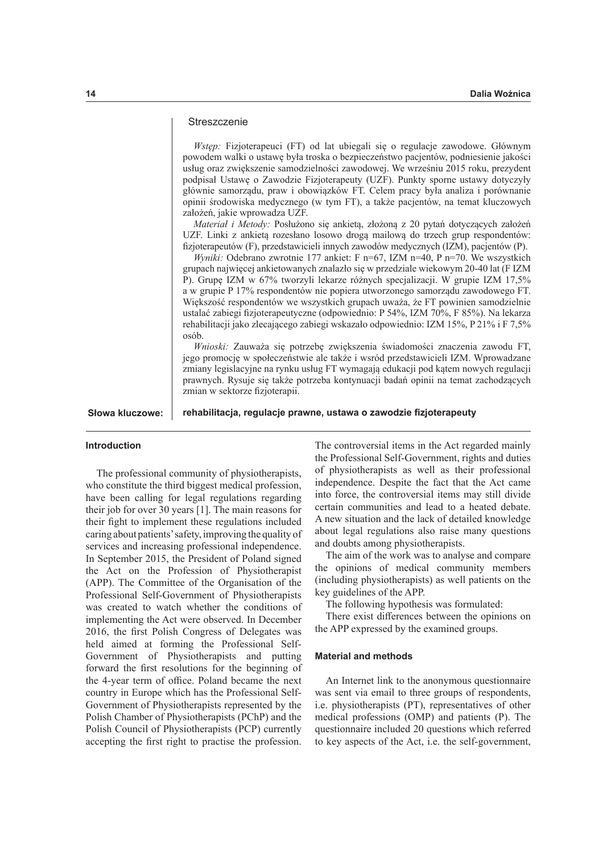# **Streszczenie**

*Wstęp:* Fizjoterapeuci (FT) od lat ubiegali się o regulacje zawodowe. Głównym powodem walki o ustawę była troska o bezpieczeństwo pacjentów, podniesienie jakości usług oraz zwiększenie samodzielności zawodowej. We wrześniu 2015 roku, prezydent podpisał Ustawę o Zawodzie Fizjoterapeuty (UZF). Punkty sporne ustawy dotyczyły głównie samorządu, praw i obowiązków FT. Celem pracy była analiza i porównanie opinii środowiska medycznego (w tym FT), a także pacjentów, na temat kluczowych założeń, jakie wprowadza UZF.

*Materiał i Metody:* Posłużono się ankietą, złożoną z 20 pytań dotyczących założeń UZF. Linki z ankietą rozesłano losowo drogą mailową do trzech grup respondentów: fzjoterapeutów (F), przedstawicieli innych zawodów medycznych (IZM), pacjentów (P).

*Wyniki:* Odebrano zwrotnie 177 ankiet: F n=67, IZM n=40, P n=70. We wszystkich grupach najwięcej ankietowanych znalazło się w przedziale wiekowym 20-40 lat (F IZM P). Grupę IZM w 67% tworzyli lekarze różnych specjalizacji. W grupie IZM 17,5% a w grupie P 17% respondentów nie popiera utworzonego samorządu zawodowego FT. Większość respondentów we wszystkich grupach uważa, że FT powinien samodzielnie ustalać zabiegi fzjoterapeutyczne (odpowiednio: P 54%, IZM 70%, F 85%). Na lekarza rehabilitacji jako zlecającego zabiegi wskazało odpowiednio: IZM 15%, P 21% i F 7,5% osób.

*Wnioski:* Zauważa się potrzebę zwiększenia świadomości znaczenia zawodu FT, jego promocję w społeczeństwie ale także i wsród przedstawicieli IZM. Wprowadzane zmiany legislacyjne na rynku usług FT wymagają edukacji pod kątem nowych regulacji prawnych. Rysuje się także potrzeba kontynuacji badań opinii na temat zachodzących zmian w sektorze fizjoterapii.

Słowa kluczowe: | rehabilitacja, regulacje prawne, ustawa o zawodzie fizjoterapeuty

#### **Introduction**

The professional community of physiotherapists, who constitute the third biggest medical profession, have been calling for legal regulations regarding their job for over 30 years [1]. The main reasons for their fght to implement these regulations included caring about patients' safety, improving the quality of services and increasing professional independence. In September 2015, the President of Poland signed the Act on the Profession of Physiotherapist (APP). The Committee of the Organisation of the Professional Self-Government of Physiotherapists was created to watch whether the conditions of implementing the Act were observed. In December 2016, the frst Polish Congress of Delegates was held aimed at forming the Professional Self-Government of Physiotherapists and putting forward the frst resolutions for the beginning of the 4-year term of office. Poland became the next country in Europe which has the Professional Self-Government of Physiotherapists represented by the Polish Chamber of Physiotherapists (PChP) and the Polish Council of Physiotherapists (PCP) currently accepting the frst right to practise the profession.

The controversial items in the Act regarded mainly the Professional Self-Government, rights and duties of physiotherapists as well as their professional independence. Despite the fact that the Act came into force, the controversial items may still divide certain communities and lead to a heated debate. A new situation and the lack of detailed knowledge about legal regulations also raise many questions and doubts among physiotherapists.

The aim of the work was to analyse and compare the opinions of medical community members (including physiotherapists) as well patients on the key guidelines of the APP.

The following hypothesis was formulated:

There exist diferences between the opinions on the APP expressed by the examined groups.

## **Material and methods**

An Internet link to the anonymous questionnaire was sent via email to three groups of respondents, i.e. physiotherapists (PT), representatives of other medical professions (OMP) and patients (P). The questionnaire included 20 questions which referred to key aspects of the Act, i.e. the self-government,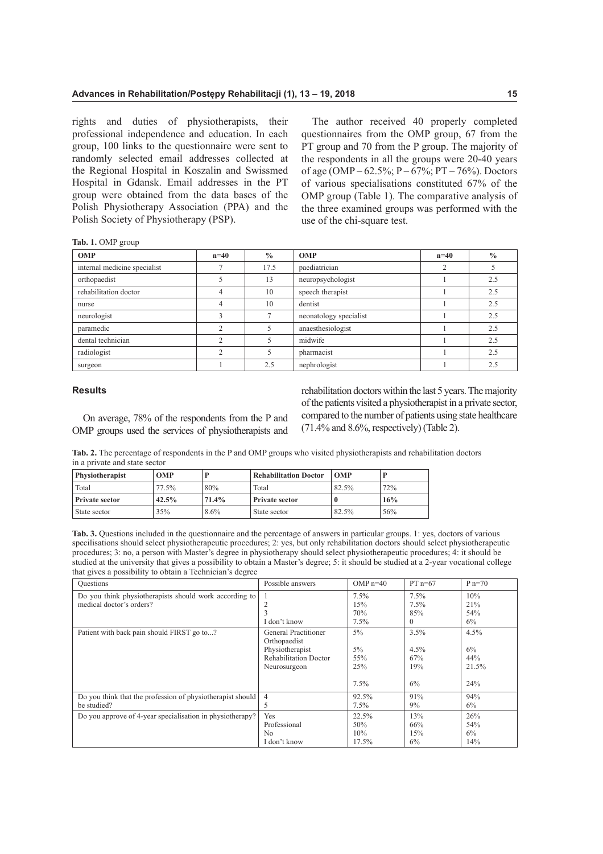rights and duties of physiotherapists, their professional independence and education. In each group, 100 links to the questionnaire were sent to randomly selected email addresses collected at the Regional Hospital in Koszalin and Swissmed Hospital in Gdansk. Email addresses in the PT group were obtained from the data bases of the Polish Physiotherapy Association (PPA) and the Polish Society of Physiotherapy (PSP).

The author received 40 properly completed questionnaires from the OMP group, 67 from the PT group and 70 from the P group. The majority of the respondents in all the groups were 20-40 years of age (OMP – 62.5%; P – 67%; PT – 76%). Doctors of various specialisations constituted 67% of the OMP group (Table 1). The comparative analysis of the three examined groups was performed with the use of the chi-square test.

| Tab. 1. OMP group |  |
|-------------------|--|
|-------------------|--|

| <b>OMP</b>                   | $n=40$         | $\frac{0}{0}$ | <b>OMP</b>             | $n=40$     | $\frac{0}{0}$ |
|------------------------------|----------------|---------------|------------------------|------------|---------------|
| internal medicine specialist |                | 17.5          | paediatrician          | $\bigcirc$ |               |
| orthopaedist                 |                | 13            | neuropsychologist      |            | 2.5           |
| rehabilitation doctor        | 4              | 10            | speech therapist       |            | 2.5           |
| nurse                        | $\overline{4}$ | 10            | dentist                |            | 2.5           |
| neurologist                  | 3              |               | neonatology specialist |            | 2.5           |
| paramedic                    |                |               | anaesthesiologist      |            | 2.5           |
| dental technician            | $\bigcirc$     |               | midwife                |            | 2.5           |
| radiologist                  |                |               | pharmacist             |            | 2.5           |
| surgeon                      |                | 2.5           | nephrologist           |            | 2.5           |

## **Results**

On average, 78% of the respondents from the P and OMP groups used the services of physiotherapists and

rehabilitation doctors within the last 5 years. The majority of the patients visited a physiotherapist in a private sector, compared to the number of patients using state healthcare  $(71.4\%$  and  $8.6\%$ , respectively) (Table 2).

**Tab. 2.** The percentage of respondents in the P and OMP groups who visited physiotherapists and rehabilitation doctors in a private and state sector

| <b>Physiotherapist</b> | <b>OMP</b> |       | <b>Rehabilitation Doctor</b> | <b>OMP</b> |     |
|------------------------|------------|-------|------------------------------|------------|-----|
| Total                  | 77.5%      | 80%   | Total                        | 82.5%      | 72% |
| <b>Private sector</b>  | $42.5\%$   | 71.4% | Private sector               |            | 16% |
| State sector           | 35%        | 8.6%  | State sector                 | 82.5%      | 56% |

**Tab. 3.** Questions included in the questionnaire and the percentage of answers in particular groups. 1: yes, doctors of various specilisations should select physiotherapeutic procedures; 2: yes, but only rehabilitation doctors should select physiotherapeutic procedures; 3: no, a person with Master's degree in physiotherapy should select physiotherapeutic procedures; 4: it should be studied at the university that gives a possibility to obtain a Master's degree; 5: it should be studied at a 2-year vocational college that gives a possibility to obtain a Technician's degree

| Questions                                                                          | Possible answers                    | OMP $n=40$                 | $PT n=67$                     | $P_{n=70}$              |
|------------------------------------------------------------------------------------|-------------------------------------|----------------------------|-------------------------------|-------------------------|
| Do you think physiotherapists should work according to<br>medical doctor's orders? | $\overline{2}$<br>3<br>I don't know | 7.5%<br>15%<br>70%<br>7.5% | 7.5%<br>7.5%<br>85%<br>$_{0}$ | 10%<br>21%<br>54%<br>6% |
| Patient with back pain should FIRST go to?                                         | General Practitioner                | $5\%$                      | 3.5%                          | 4.5%                    |
|                                                                                    | Orthopaedist                        | $5\%$                      | $4.5\%$                       | 6%                      |
|                                                                                    | Physiotherapist                     | 55%                        | 67%                           | 44%                     |
|                                                                                    | <b>Rehabilitation Doctor</b>        | 25%                        | 19%                           | 21.5%                   |
|                                                                                    | Neurosurgeon                        | 7.5%                       | 6%                            | 24%                     |
| Do you think that the profession of physiotherapist should                         | $\overline{4}$                      | 92.5%                      | 91%                           | 94%                     |
| be studied?                                                                        | 5                                   | $7.5\%$                    | 9%                            | 6%                      |
| Do you approve of 4-year specialisation in physiotherapy?                          | Yes                                 | 22.5%                      | 13%                           | 26%                     |
|                                                                                    | Professional                        | 50%                        | 66%                           | 54%                     |
|                                                                                    | N <sub>0</sub>                      | 10%                        | 15%                           | 6%                      |
|                                                                                    | I don't know                        | $17.5\%$                   | 6%                            | 14%                     |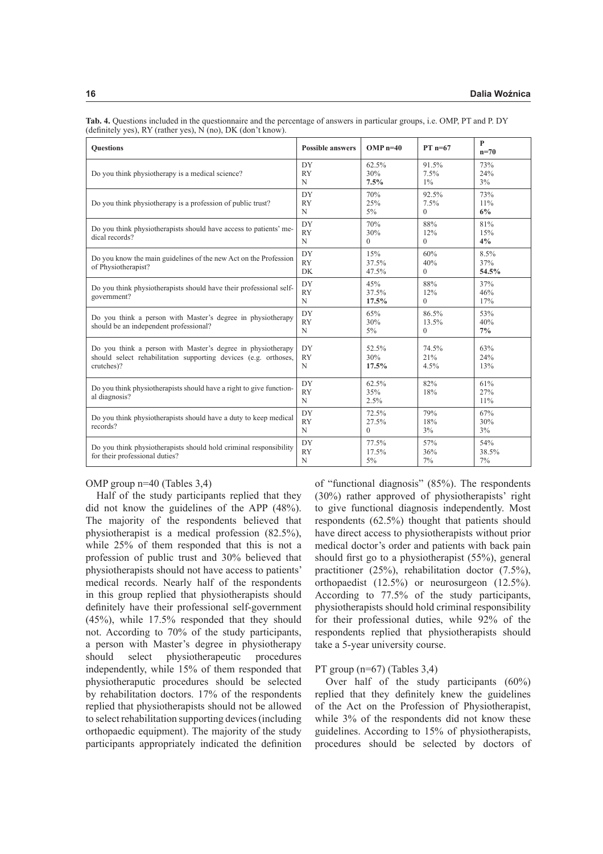| <b>Ouestions</b>                                                                                                                             | <b>Possible answers</b>        | $OMP n=40$                 | $PT$ n=67                  | $\mathbf{P}$<br>$n=70$ |
|----------------------------------------------------------------------------------------------------------------------------------------------|--------------------------------|----------------------------|----------------------------|------------------------|
| Do you think physiotherapy is a medical science?                                                                                             | DY<br><b>RY</b><br>N           | 62.5%<br>30%<br>7.5%       | 91.5%<br>7.5%<br>$1\%$     | 73%<br>24%<br>3%       |
| Do you think physiotherapy is a profession of public trust?                                                                                  | DY<br><b>RY</b><br>N           | 70%<br>25%<br>$5\%$        | 92.5%<br>7.5%<br>$\Omega$  | 73%<br>11%<br>6%       |
| Do you think physiotherapists should have access to patients' me-<br>dical records?                                                          | DY<br><b>RY</b><br>N           | 70%<br>30%<br>$\Omega$     | 88%<br>12%<br>$\Omega$     | 81%<br>15%<br>4%       |
| Do you know the main guidelines of the new Act on the Profession<br>of Physiotherapist?                                                      | DY<br><b>RY</b><br>DK          | 15%<br>37.5%<br>47.5%      | 60%<br>40%<br>$\Omega$     | 8.5%<br>37%<br>54.5%   |
| Do you think physiotherapists should have their professional self-<br>government?                                                            | DY<br><b>RY</b><br>$\mathbf N$ | 45%<br>37.5%<br>17.5%      | 88%<br>12%<br>$\Omega$     | 37%<br>46%<br>17%      |
| Do you think a person with Master's degree in physiotherapy<br>should be an independent professional?                                        | DY<br><b>RY</b><br>N           | 65%<br>30%<br>$5\%$        | 86.5%<br>13.5%<br>$\Omega$ | 53%<br>40%<br>$7\%$    |
| Do you think a person with Master's degree in physiotherapy<br>should select rehabilitation supporting devices (e.g. orthoses,<br>crutches)? | DY<br><b>RY</b><br>N           | 52.5%<br>30%<br>17.5%      | 74.5%<br>21%<br>4.5%       | 63%<br>24%<br>13%      |
| Do you think physiotherapists should have a right to give function-<br>al diagnosis?                                                         | DY<br><b>RY</b><br>N           | 62.5%<br>35%<br>2.5%       | 82%<br>18%                 | 61%<br>27%<br>11%      |
| Do you think physiotherapists should have a duty to keep medical<br>records?                                                                 | DY<br><b>RY</b><br>N           | 72.5%<br>27.5%<br>$\Omega$ | 79%<br>18%<br>3%           | 67%<br>30%<br>$3\%$    |
| Do you think physiotherapists should hold criminal responsibility<br>for their professional duties?                                          | DY<br><b>RY</b><br>$\mathbf N$ | 77.5%<br>17.5%<br>5%       | 57%<br>36%<br>7%           | 54%<br>38.5%<br>7%     |

**Tab. 4.** Questions included in the questionnaire and the percentage of answers in particular groups, i.e. OMP, PT and P. DY (defnitely yes), RY (rather yes), N (no), DK (don't know).

# OMP group n=40 (Tables 3,4)

Half of the study participants replied that they did not know the guidelines of the APP (48%). The majority of the respondents believed that physiotherapist is a medical profession (82.5%), while 25% of them responded that this is not a profession of public trust and 30% believed that physiotherapists should not have access to patients' medical records. Nearly half of the respondents in this group replied that physiotherapists should defnitely have their professional self-government (45%), while 17.5% responded that they should not. According to 70% of the study participants, a person with Master's degree in physiotherapy should select physiotherapeutic procedures independently, while 15% of them responded that physiotheraputic procedures should be selected by rehabilitation doctors. 17% of the respondents replied that physiotherapists should not be allowed to select rehabilitation supporting devices (including orthopaedic equipment). The majority of the study participants appropriately indicated the defnition

of "functional diagnosis" (85%). The respondents (30%) rather approved of physiotherapists' right to give functional diagnosis independently. Most respondents (62.5%) thought that patients should have direct access to physiotherapists without prior medical doctor's order and patients with back pain should frst go to a physiotherapist (55%), general practitioner (25%), rehabilitation doctor (7.5%), orthopaedist (12.5%) or neurosurgeon (12.5%). According to 77.5% of the study participants, physiotherapists should hold criminal responsibility for their professional duties, while 92% of the respondents replied that physiotherapists should take a 5-year university course.

### PT group (n=67) (Tables 3,4)

Over half of the study participants (60%) replied that they defnitely knew the guidelines of the Act on the Profession of Physiotherapist, while 3% of the respondents did not know these guidelines. According to 15% of physiotherapists, procedures should be selected by doctors of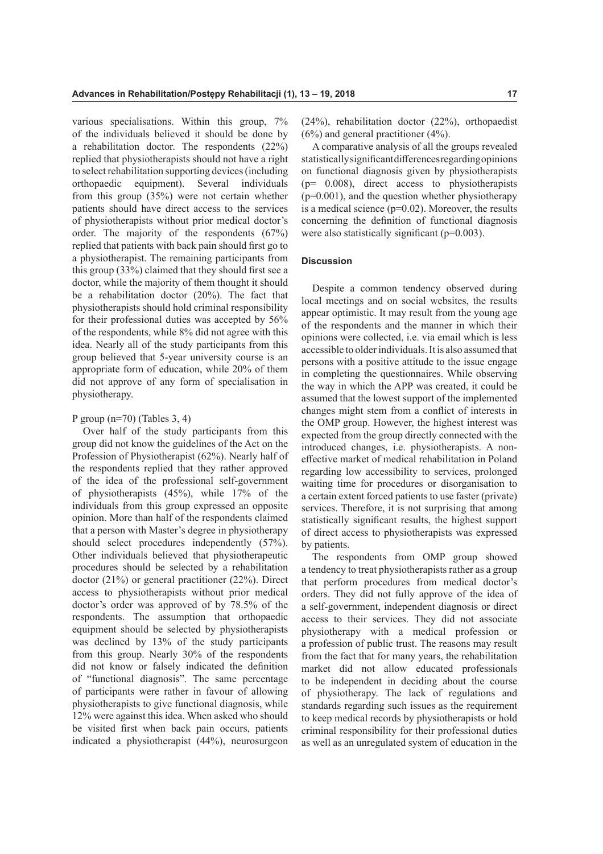various specialisations. Within this group, 7% of the individuals believed it should be done by a rehabilitation doctor. The respondents (22%) replied that physiotherapists should not have a right to select rehabilitation supporting devices (including orthopaedic equipment). Several individuals from this group (35%) were not certain whether patients should have direct access to the services of physiotherapists without prior medical doctor's order. The majority of the respondents (67%) replied that patients with back pain should frst go to a physiotherapist. The remaining participants from this group (33%) claimed that they should frst see a doctor, while the majority of them thought it should be a rehabilitation doctor (20%). The fact that physiotherapists should hold criminal responsibility for their professional duties was accepted by 56% of the respondents, while 8% did not agree with this idea. Nearly all of the study participants from this group believed that 5-year university course is an appropriate form of education, while 20% of them did not approve of any form of specialisation in physiotherapy.

## P group  $(n=70)$  (Tables 3, 4)

Over half of the study participants from this group did not know the guidelines of the Act on the Profession of Physiotherapist (62%). Nearly half of the respondents replied that they rather approved of the idea of the professional self-government of physiotherapists (45%), while 17% of the individuals from this group expressed an opposite opinion. More than half of the respondents claimed that a person with Master's degree in physiotherapy should select procedures independently (57%). Other individuals believed that physiotherapeutic procedures should be selected by a rehabilitation doctor (21%) or general practitioner (22%). Direct access to physiotherapists without prior medical doctor's order was approved of by 78.5% of the respondents. The assumption that orthopaedic equipment should be selected by physiotherapists was declined by 13% of the study participants from this group. Nearly 30% of the respondents did not know or falsely indicated the defnition of "functional diagnosis". The same percentage of participants were rather in favour of allowing physiotherapists to give functional diagnosis, while 12% were against this idea. When asked who should be visited frst when back pain occurs, patients indicated a physiotherapist (44%), neurosurgeon (24%), rehabilitation doctor (22%), orthopaedist (6%) and general practitioner (4%).

A comparative analysis of all the groups revealed statistically signifcant diferences regarding opinions on functional diagnosis given by physiotherapists (p= 0.008), direct access to physiotherapists  $(p=0.001)$ , and the question whether physiotherapy is a medical science  $(p=0.02)$ . Moreover, the results concerning the defnition of functional diagnosis were also statistically significant  $(p=0.003)$ .

# **Discussion**

Despite a common tendency observed during local meetings and on social websites, the results appear optimistic. It may result from the young age of the respondents and the manner in which their opinions were collected, i.e. via email which is less accessible to older individuals. It is also assumed that persons with a positive attitude to the issue engage in completing the questionnaires. While observing the way in which the APP was created, it could be assumed that the lowest support of the implemented changes might stem from a confict of interests in the OMP group. However, the highest interest was expected from the group directly connected with the introduced changes, i.e. physiotherapists. A nonefective market of medical rehabilitation in Poland regarding low accessibility to services, prolonged waiting time for procedures or disorganisation to a certain extent forced patients to use faster (private) services. Therefore, it is not surprising that among statistically signifcant results, the highest support of direct access to physiotherapists was expressed by patients.

The respondents from OMP group showed a tendency to treat physiotherapists rather as a group that perform procedures from medical doctor's orders. They did not fully approve of the idea of a self-government, independent diagnosis or direct access to their services. They did not associate physiotherapy with a medical profession or a profession of public trust. The reasons may result from the fact that for many years, the rehabilitation market did not allow educated professionals to be independent in deciding about the course of physiotherapy. The lack of regulations and standards regarding such issues as the requirement to keep medical records by physiotherapists or hold criminal responsibility for their professional duties as well as an unregulated system of education in the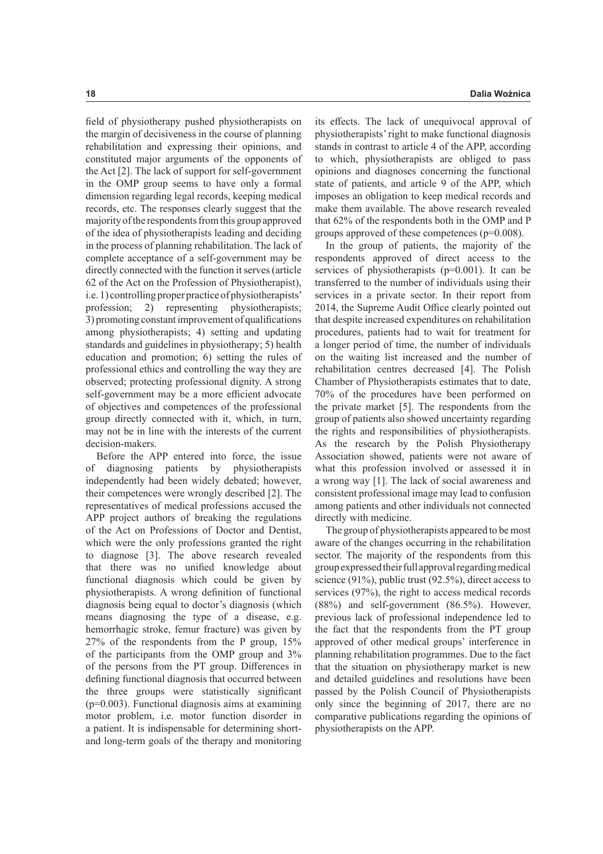feld of physiotherapy pushed physiotherapists on the margin of decisiveness in the course of planning rehabilitation and expressing their opinions, and constituted major arguments of the opponents of the Act [2]. The lack of support for self-government in the OMP group seems to have only a formal dimension regarding legal records, keeping medical records, etc. The responses clearly suggest that the majority of the respondents from this group approved of the idea of physiotherapists leading and deciding in the process of planning rehabilitation. The lack of complete acceptance of a self-government may be directly connected with the function it serves (article 62 of the Act on the Profession of Physiotherapist), i.e. 1) controlling proper practice of physiotherapists' profession; 2) representing physiotherapists; 3) promoting constant improvement of qualifcations among physiotherapists; 4) setting and updating standards and guidelines in physiotherapy; 5) health education and promotion; 6) setting the rules of professional ethics and controlling the way they are observed; protecting professional dignity. A strong self-government may be a more efficient advocate of objectives and competences of the professional group directly connected with it, which, in turn, may not be in line with the interests of the current decision-makers.

Before the APP entered into force, the issue of diagnosing patients by physiotherapists independently had been widely debated; however, their competences were wrongly described [2]. The representatives of medical professions accused the APP project authors of breaking the regulations of the Act on Professions of Doctor and Dentist, which were the only professions granted the right to diagnose [3]. The above research revealed that there was no unifed knowledge about functional diagnosis which could be given by physiotherapists. A wrong defnition of functional diagnosis being equal to doctor's diagnosis (which means diagnosing the type of a disease, e.g. hemorrhagic stroke, femur fracture) was given by 27% of the respondents from the P group, 15% of the participants from the OMP group and 3% of the persons from the PT group. Diferences in defning functional diagnosis that occurred between the three groups were statistically signifcant (p=0.003). Functional diagnosis aims at examining motor problem, i.e. motor function disorder in a patient. It is indispensable for determining shortand long-term goals of the therapy and monitoring

its efects. The lack of unequivocal approval of physiotherapists' right to make functional diagnosis stands in contrast to article 4 of the APP, according to which, physiotherapists are obliged to pass opinions and diagnoses concerning the functional state of patients, and article 9 of the APP, which imposes an obligation to keep medical records and make them available. The above research revealed that 62% of the respondents both in the OMP and P groups approved of these competences (p=0.008).

In the group of patients, the majority of the respondents approved of direct access to the services of physiotherapists (p=0.001). It can be transferred to the number of individuals using their services in a private sector. In their report from 2014, the Supreme Audit Office clearly pointed out that despite increased expenditures on rehabilitation procedures, patients had to wait for treatment for a longer period of time, the number of individuals on the waiting list increased and the number of rehabilitation centres decreased [4]. The Polish Chamber of Physiotherapists estimates that to date, 70% of the procedures have been performed on the private market [5]. The respondents from the group of patients also showed uncertainty regarding the rights and responsibilities of physiotherapists. As the research by the Polish Physiotherapy Association showed, patients were not aware of what this profession involved or assessed it in a wrong way [1]. The lack of social awareness and consistent professional image may lead to confusion among patients and other individuals not connected directly with medicine.

The group of physiotherapists appeared to be most aware of the changes occurring in the rehabilitation sector. The majority of the respondents from this group expressed their full approval regarding medical science (91%), public trust (92.5%), direct access to services (97%), the right to access medical records (88%) and self-government (86.5%). However, previous lack of professional independence led to the fact that the respondents from the PT group approved of other medical groups' interference in planning rehabilitation programmes. Due to the fact that the situation on physiotherapy market is new and detailed guidelines and resolutions have been passed by the Polish Council of Physiotherapists only since the beginning of 2017, there are no comparative publications regarding the opinions of physiotherapists on the APP.